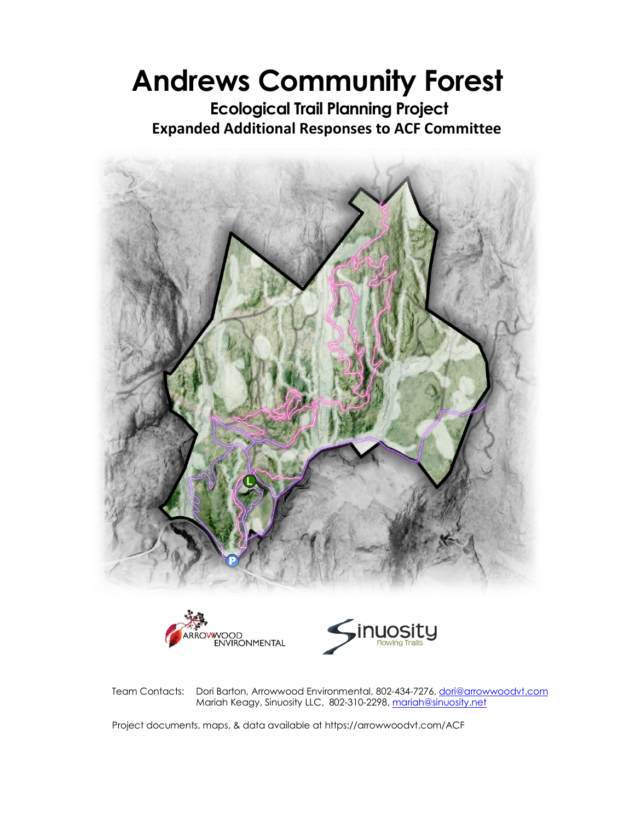# **Andrews Community Forest**

**Ecological Trail Planning Project Expanded Additional Responses to ACF Committee** 



Team Contacts: Dori Barton, Arrowwood Environmental, 802-434-7276, dori@arrowwoodvt.com Mariah Keagy, Sinuosity LLC, 802-310-2298, mariah@sinuosity.net

Project documents, maps, & data available at https://arrowwoodvt.com/ACF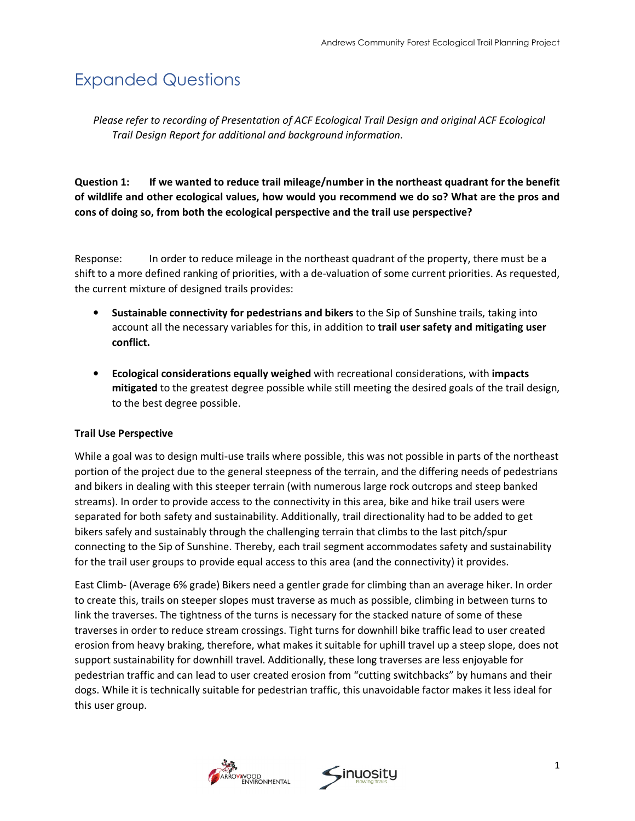## Expanded Questions

*Please refer to recording of Presentation of ACF Ecological Trail Design and original ACF Ecological Trail Design Report for additional and background information.* 

**Question 1: If we wanted to reduce trail mileage/number in the northeast quadrant for the benefit of wildlife and other ecological values, how would you recommend we do so? What are the pros and cons of doing so, from both the ecological perspective and the trail use perspective?** 

Response: In order to reduce mileage in the northeast quadrant of the property, there must be a shift to a more defined ranking of priorities, with a de-valuation of some current priorities. As requested, the current mixture of designed trails provides:

- **Sustainable connectivity for pedestrians and bikers** to the Sip of Sunshine trails, taking into account all the necessary variables for this, in addition to **trail user safety and mitigating user conflict.**
- **Ecological considerations equally weighed** with recreational considerations, with **impacts mitigated** to the greatest degree possible while still meeting the desired goals of the trail design, to the best degree possible.

#### **Trail Use Perspective**

While a goal was to design multi-use trails where possible, this was not possible in parts of the northeast portion of the project due to the general steepness of the terrain, and the differing needs of pedestrians and bikers in dealing with this steeper terrain (with numerous large rock outcrops and steep banked streams). In order to provide access to the connectivity in this area, bike and hike trail users were separated for both safety and sustainability. Additionally, trail directionality had to be added to get bikers safely and sustainably through the challenging terrain that climbs to the last pitch/spur connecting to the Sip of Sunshine. Thereby, each trail segment accommodates safety and sustainability for the trail user groups to provide equal access to this area (and the connectivity) it provides.

East Climb- (Average 6% grade) Bikers need a gentler grade for climbing than an average hiker. In order to create this, trails on steeper slopes must traverse as much as possible, climbing in between turns to link the traverses. The tightness of the turns is necessary for the stacked nature of some of these traverses in order to reduce stream crossings. Tight turns for downhill bike traffic lead to user created erosion from heavy braking, therefore, what makes it suitable for uphill travel up a steep slope, does not support sustainability for downhill travel. Additionally, these long traverses are less enjoyable for pedestrian traffic and can lead to user created erosion from "cutting switchbacks" by humans and their dogs. While it is technically suitable for pedestrian traffic, this unavoidable factor makes it less ideal for this user group.



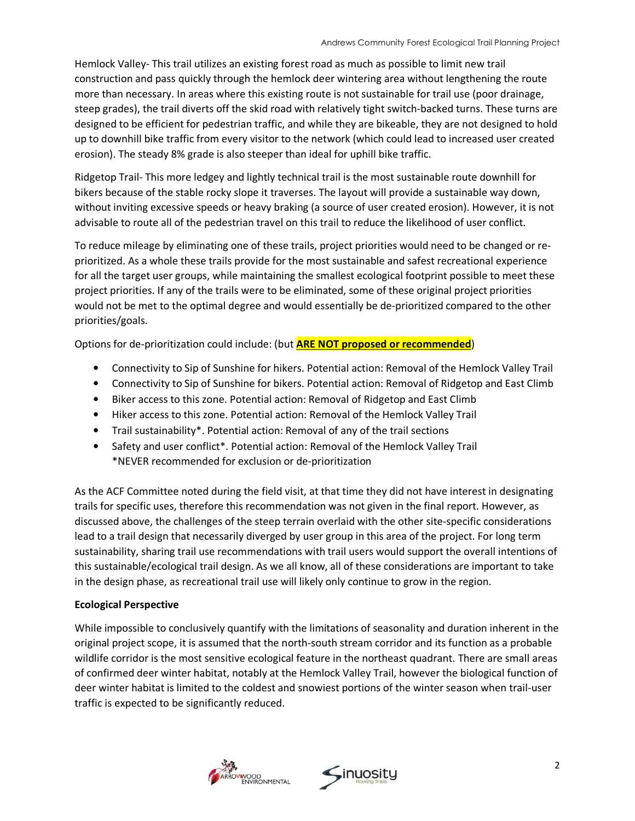Hemlock Valley- This trail utilizes an existing forest road as much as possible to limit new trail construction and pass quickly through the hemlock deer wintering area without lengthening the route more than necessary. In areas where this existing route is not sustainable for trail use (poor drainage, steep grades), the trail diverts off the skid road with relatively tight switch-backed turns. These turns are designed to be efficient for pedestrian traffic, and while they are bikeable, they are not designed to hold up to downhill bike traffic from every visitor to the network (which could lead to increased user created erosion). The steady 8% grade is also steeper than ideal for uphill bike traffic.

Ridgetop Trail- This more ledgey and lightly technical trail is the most sustainable route downhill for bikers because of the stable rocky slope it traverses. The layout will provide a sustainable way down, without inviting excessive speeds or heavy braking (a source of user created erosion). However, it is not advisable to route all of the pedestrian travel on this trail to reduce the likelihood of user conflict.

To reduce mileage by eliminating one of these trails, project priorities would need to be changed or reprioritized. As a whole these trails provide for the most sustainable and safest recreational experience for all the target user groups, while maintaining the smallest ecological footprint possible to meet these project priorities. If any of the trails were to be eliminated, some of these original project priorities would not be met to the optimal degree and would essentially be de-prioritized compared to the other priorities/goals.

Options for de-prioritization could include: (but **ARE NOT proposed or recommended**)

- Connectivity to Sip of Sunshine for hikers. Potential action: Removal of the Hemlock Valley Trail
- Connectivity to Sip of Sunshine for bikers. Potential action: Removal of Ridgetop and East Climb
- Biker access to this zone. Potential action: Removal of Ridgetop and East Climb
- Hiker access to this zone. Potential action: Removal of the Hemlock Valley Trail
- Trail sustainability\*. Potential action: Removal of any of the trail sections
- Safety and user conflict\*. Potential action: Removal of the Hemlock Valley Trail \*NEVER recommended for exclusion or de-prioritization

As the ACF Committee noted during the field visit, at that time they did not have interest in designating trails for specific uses, therefore this recommendation was not given in the final report. However, as discussed above, the challenges of the steep terrain overlaid with the other site-specific considerations lead to a trail design that necessarily diverged by user group in this area of the project. For long term sustainability, sharing trail use recommendations with trail users would support the overall intentions of this sustainable/ecological trail design. As we all know, all of these considerations are important to take in the design phase, as recreational trail use will likely only continue to grow in the region.

#### **Ecological Perspective**

While impossible to conclusively quantify with the limitations of seasonality and duration inherent in the original project scope, it is assumed that the north-south stream corridor and its function as a probable wildlife corridor is the most sensitive ecological feature in the northeast quadrant. There are small areas of confirmed deer winter habitat, notably at the Hemlock Valley Trail, however the biological function of deer winter habitat is limited to the coldest and snowiest portions of the winter season when trail-user traffic is expected to be significantly reduced.



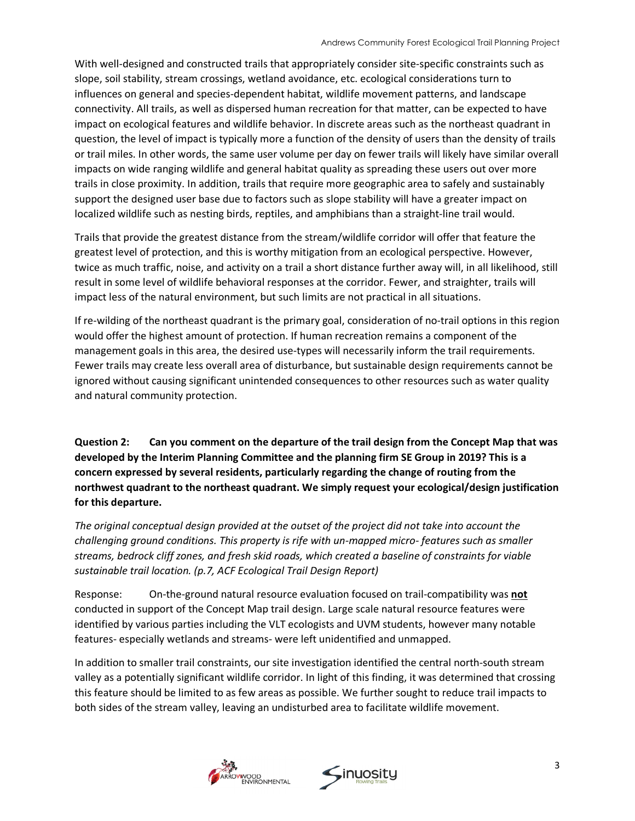With well-designed and constructed trails that appropriately consider site-specific constraints such as slope, soil stability, stream crossings, wetland avoidance, etc. ecological considerations turn to influences on general and species-dependent habitat, wildlife movement patterns, and landscape connectivity. All trails, as well as dispersed human recreation for that matter, can be expected to have impact on ecological features and wildlife behavior. In discrete areas such as the northeast quadrant in question, the level of impact is typically more a function of the density of users than the density of trails or trail miles. In other words, the same user volume per day on fewer trails will likely have similar overall impacts on wide ranging wildlife and general habitat quality as spreading these users out over more trails in close proximity. In addition, trails that require more geographic area to safely and sustainably support the designed user base due to factors such as slope stability will have a greater impact on localized wildlife such as nesting birds, reptiles, and amphibians than a straight-line trail would.

Trails that provide the greatest distance from the stream/wildlife corridor will offer that feature the greatest level of protection, and this is worthy mitigation from an ecological perspective. However, twice as much traffic, noise, and activity on a trail a short distance further away will, in all likelihood, still result in some level of wildlife behavioral responses at the corridor. Fewer, and straighter, trails will impact less of the natural environment, but such limits are not practical in all situations.

If re-wilding of the northeast quadrant is the primary goal, consideration of no-trail options in this region would offer the highest amount of protection. If human recreation remains a component of the management goals in this area, the desired use-types will necessarily inform the trail requirements. Fewer trails may create less overall area of disturbance, but sustainable design requirements cannot be ignored without causing significant unintended consequences to other resources such as water quality and natural community protection.

**Question 2: Can you comment on the departure of the trail design from the Concept Map that was developed by the Interim Planning Committee and the planning firm SE Group in 2019? This is a concern expressed by several residents, particularly regarding the change of routing from the northwest quadrant to the northeast quadrant. We simply request your ecological/design justification for this departure.** 

*The original conceptual design provided at the outset of the project did not take into account the challenging ground conditions. This property is rife with un-mapped micro- features such as smaller streams, bedrock cliff zones, and fresh skid roads, which created a baseline of constraints for viable sustainable trail location. (p.7, ACF Ecological Trail Design Report)*

Response: On-the-ground natural resource evaluation focused on trail-compatibility was **not**  conducted in support of the Concept Map trail design. Large scale natural resource features were identified by various parties including the VLT ecologists and UVM students, however many notable features- especially wetlands and streams- were left unidentified and unmapped.

In addition to smaller trail constraints, our site investigation identified the central north-south stream valley as a potentially significant wildlife corridor. In light of this finding, it was determined that crossing this feature should be limited to as few areas as possible. We further sought to reduce trail impacts to both sides of the stream valley, leaving an undisturbed area to facilitate wildlife movement.